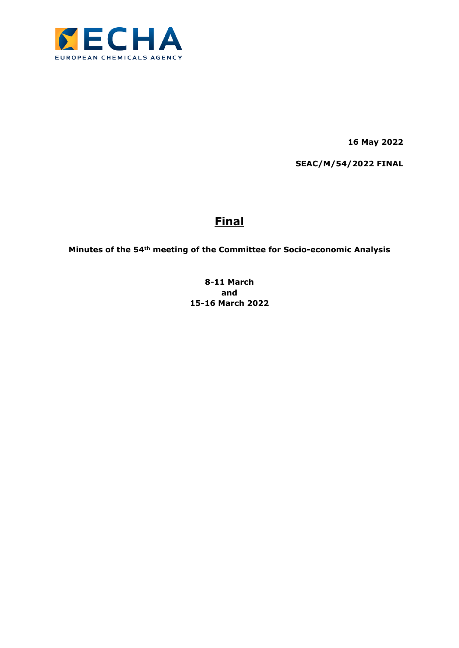

**16 May 2022**

**SEAC/M/54/2022 FINAL**

# **Final**

**Minutes of the 54th meeting of the Committee for Socio-economic Analysis**

**8-11 March and 15-16 March 2022**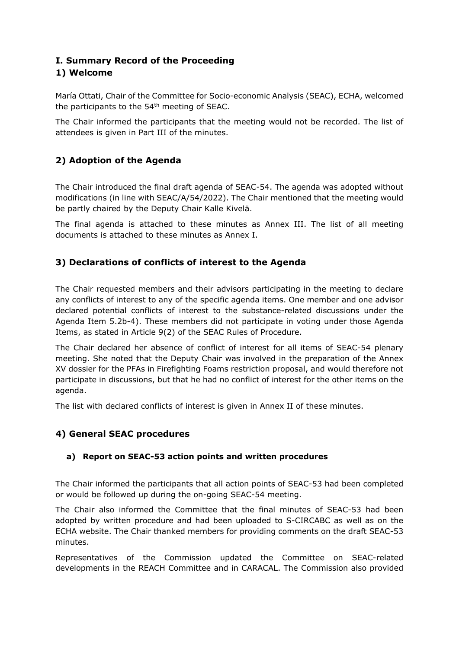# **I. Summary Record of the Proceeding 1) Welcome**

María Ottati, Chair of the Committee for Socio-economic Analysis (SEAC), ECHA, welcomed the participants to the 54th meeting of SEAC.

The Chair informed the participants that the meeting would not be recorded. The list of attendees is given in Part III of the minutes.

# **2) Adoption of the Agenda**

The Chair introduced the final draft agenda of SEAC-54. The agenda was adopted without modifications (in line with SEAC/A/54/2022). The Chair mentioned that the meeting would be partly chaired by the Deputy Chair Kalle Kivelä.

The final agenda is attached to these minutes as Annex III. The list of all meeting documents is attached to these minutes as Annex I.

# **3) Declarations of conflicts of interest to the Agenda**

The Chair requested members and their advisors participating in the meeting to declare any conflicts of interest to any of the specific agenda items. One member and one advisor declared potential conflicts of interest to the substance-related discussions under the Agenda Item 5.2b-4). These members did not participate in voting under those Agenda Items, as stated in Article 9(2) of the SEAC Rules of Procedure.

The Chair declared her absence of conflict of interest for all items of SEAC-54 plenary meeting. She noted that the Deputy Chair was involved in the preparation of the Annex XV dossier for the PFAs in Firefighting Foams restriction proposal, and would therefore not participate in discussions, but that he had no conflict of interest for the other items on the agenda.

The list with declared conflicts of interest is given in Annex II of these minutes.

# **4) General SEAC procedures**

### **a) Report on SEAC-53 action points and written procedures**

The Chair informed the participants that all action points of SEAC-53 had been completed or would be followed up during the on-going SEAC-54 meeting.

The Chair also informed the Committee that the final minutes of SEAC-53 had been adopted by written procedure and had been uploaded to S-CIRCABC as well as on the ECHA website. The Chair thanked members for providing comments on the draft SEAC-53 minutes.

Representatives of the Commission updated the Committee on SEAC-related developments in the REACH Committee and in CARACAL. The Commission also provided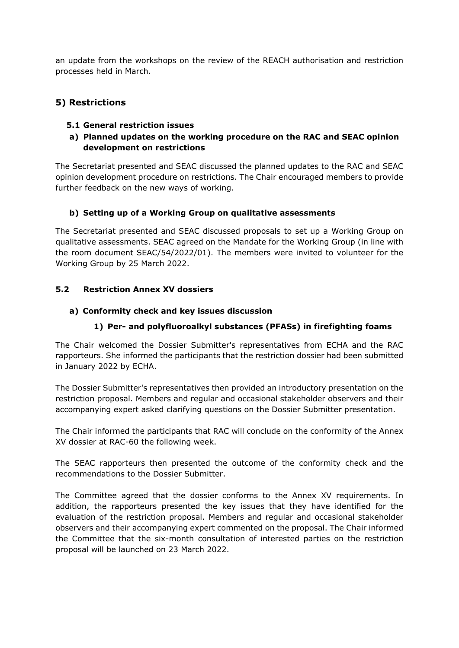an update from the workshops on the review of the REACH authorisation and restriction processes held in March.

## **5) Restrictions**

### **5.1 General restriction issues**

**a) Planned updates on the working procedure on the RAC and SEAC opinion development on restrictions**

The Secretariat presented and SEAC discussed the planned updates to the RAC and SEAC opinion development procedure on restrictions. The Chair encouraged members to provide further feedback on the new ways of working.

### **b) Setting up of a Working Group on qualitative assessments**

The Secretariat presented and SEAC discussed proposals to set up a Working Group on qualitative assessments. SEAC agreed on the Mandate for the Working Group (in line with the room document SEAC/54/2022/01). The members were invited to volunteer for the Working Group by 25 March 2022.

### **5.2 Restriction Annex XV dossiers**

#### **a) Conformity check and key issues discussion**

### **1) Per- and polyfluoroalkyl substances (PFASs) in firefighting foams**

The Chair welcomed the Dossier Submitter's representatives from ECHA and the RAC rapporteurs. She informed the participants that the restriction dossier had been submitted in January 2022 by ECHA.

The Dossier Submitter's representatives then provided an introductory presentation on the restriction proposal. Members and regular and occasional stakeholder observers and their accompanying expert asked clarifying questions on the Dossier Submitter presentation.

The Chair informed the participants that RAC will conclude on the conformity of the Annex XV dossier at RAC-60 the following week.

The SEAC rapporteurs then presented the outcome of the conformity check and the recommendations to the Dossier Submitter.

The Committee agreed that the dossier conforms to the Annex XV requirements. In addition, the rapporteurs presented the key issues that they have identified for the evaluation of the restriction proposal. Members and regular and occasional stakeholder observers and their accompanying expert commented on the proposal. The Chair informed the Committee that the six-month consultation of interested parties on the restriction proposal will be launched on 23 March 2022.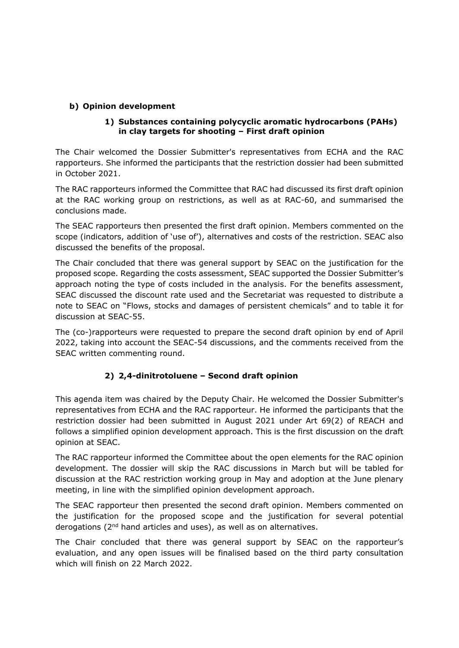### **b) Opinion development**

#### **1) Substances containing polycyclic aromatic hydrocarbons (PAHs) in clay targets for shooting – First draft opinion**

The Chair welcomed the Dossier Submitter's representatives from ECHA and the RAC rapporteurs. She informed the participants that the restriction dossier had been submitted in October 2021.

The RAC rapporteurs informed the Committee that RAC had discussed its first draft opinion at the RAC working group on restrictions, as well as at RAC-60, and summarised the conclusions made.

The SEAC rapporteurs then presented the first draft opinion. Members commented on the scope (indicators, addition of 'use of'), alternatives and costs of the restriction. SEAC also discussed the benefits of the proposal.

The Chair concluded that there was general support by SEAC on the justification for the proposed scope. Regarding the costs assessment, SEAC supported the Dossier Submitter's approach noting the type of costs included in the analysis. For the benefits assessment, SEAC discussed the discount rate used and the Secretariat was requested to distribute a note to SEAC on "Flows, stocks and damages of persistent chemicals" and to table it for discussion at SEAC-55.

The (co-)rapporteurs were requested to prepare the second draft opinion by end of April 2022, taking into account the SEAC-54 discussions, and the comments received from the SEAC written commenting round.

### **2) 2,4-dinitrotoluene – Second draft opinion**

This agenda item was chaired by the Deputy Chair. He welcomed the Dossier Submitter's representatives from ECHA and the RAC rapporteur. He informed the participants that the restriction dossier had been submitted in August 2021 under Art 69(2) of REACH and follows a simplified opinion development approach. This is the first discussion on the draft opinion at SEAC.

The RAC rapporteur informed the Committee about the open elements for the RAC opinion development. The dossier will skip the RAC discussions in March but will be tabled for discussion at the RAC restriction working group in May and adoption at the June plenary meeting, in line with the simplified opinion development approach.

The SEAC rapporteur then presented the second draft opinion. Members commented on the justification for the proposed scope and the justification for several potential derogations (2nd hand articles and uses), as well as on alternatives.

The Chair concluded that there was general support by SEAC on the rapporteur's evaluation, and any open issues will be finalised based on the third party consultation which will finish on 22 March 2022.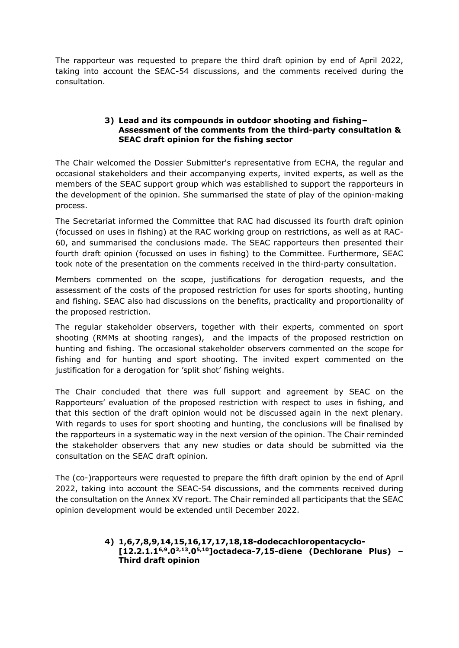The rapporteur was requested to prepare the third draft opinion by end of April 2022, taking into account the SEAC-54 discussions, and the comments received during the consultation.

#### **3) Lead and its compounds in outdoor shooting and fishing– Assessment of the comments from the third-party consultation & SEAC draft opinion for the fishing sector**

The Chair welcomed the Dossier Submitter's representative from ECHA, the regular and occasional stakeholders and their accompanying experts, invited experts, as well as the members of the SEAC support group which was established to support the rapporteurs in the development of the opinion. She summarised the state of play of the opinion-making process.

The Secretariat informed the Committee that RAC had discussed its fourth draft opinion (focussed on uses in fishing) at the RAC working group on restrictions, as well as at RAC-60, and summarised the conclusions made. The SEAC rapporteurs then presented their fourth draft opinion (focussed on uses in fishing) to the Committee. Furthermore, SEAC took note of the presentation on the comments received in the third-party consultation.

Members commented on the scope, justifications for derogation requests, and the assessment of the costs of the proposed restriction for uses for sports shooting, hunting and fishing. SEAC also had discussions on the benefits, practicality and proportionality of the proposed restriction.

The regular stakeholder observers, together with their experts, commented on sport shooting (RMMs at shooting ranges), and the impacts of the proposed restriction on hunting and fishing. The occasional stakeholder observers commented on the scope for fishing and for hunting and sport shooting. The invited expert commented on the justification for a derogation for 'split shot' fishing weights.

The Chair concluded that there was full support and agreement by SEAC on the Rapporteurs' evaluation of the proposed restriction with respect to uses in fishing, and that this section of the draft opinion would not be discussed again in the next plenary. With regards to uses for sport shooting and hunting, the conclusions will be finalised by the rapporteurs in a systematic way in the next version of the opinion. The Chair reminded the stakeholder observers that any new studies or data should be submitted via the consultation on the SEAC draft opinion.

The (co-)rapporteurs were requested to prepare the fifth draft opinion by the end of April 2022, taking into account the SEAC-54 discussions, and the comments received during the consultation on the Annex XV report. The Chair reminded all participants that the SEAC opinion development would be extended until December 2022.

#### **4) 1,6,7,8,9,14,15,16,17,17,18,18-dodecachloropentacyclo- [12.2.1.16,9.02,13.05,10]octadeca-7,15-diene (Dechlorane Plus) – Third draft opinion**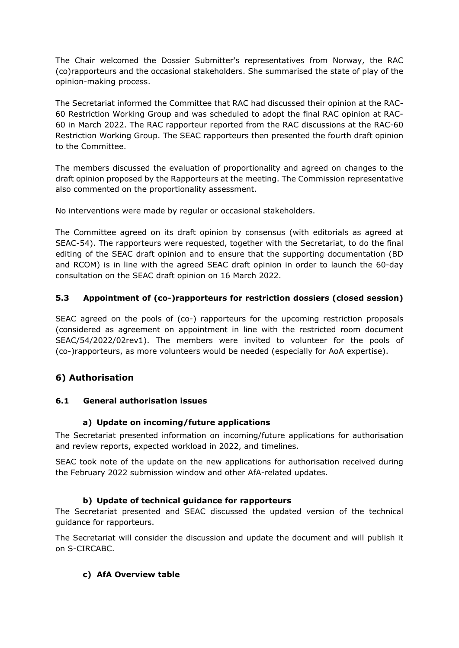The Chair welcomed the Dossier Submitter's representatives from Norway, the RAC (co)rapporteurs and the occasional stakeholders. She summarised the state of play of the opinion-making process.

The Secretariat informed the Committee that RAC had discussed their opinion at the RAC-60 Restriction Working Group and was scheduled to adopt the final RAC opinion at RAC-60 in March 2022. The RAC rapporteur reported from the RAC discussions at the RAC-60 Restriction Working Group. The SEAC rapporteurs then presented the fourth draft opinion to the Committee.

The members discussed the evaluation of proportionality and agreed on changes to the draft opinion proposed by the Rapporteurs at the meeting. The Commission representative also commented on the proportionality assessment.

No interventions were made by regular or occasional stakeholders.

The Committee agreed on its draft opinion by consensus (with editorials as agreed at SEAC-54). The rapporteurs were requested, together with the Secretariat, to do the final editing of the SEAC draft opinion and to ensure that the supporting documentation (BD and RCOM) is in line with the agreed SEAC draft opinion in order to launch the 60-day consultation on the SEAC draft opinion on 16 March 2022.

### **5.3 Appointment of (co-)rapporteurs for restriction dossiers (closed session)**

SEAC agreed on the pools of (co-) rapporteurs for the upcoming restriction proposals (considered as agreement on appointment in line with the restricted room document SEAC/54/2022/02rev1). The members were invited to volunteer for the pools of (co-)rapporteurs, as more volunteers would be needed (especially for AoA expertise).

# **6) Authorisation**

### **6.1 General authorisation issues**

### **a) Update on incoming/future applications**

The Secretariat presented information on incoming/future applications for authorisation and review reports, expected workload in 2022, and timelines.

SEAC took note of the update on the new applications for authorisation received during the February 2022 submission window and other AfA-related updates.

### **b) Update of technical guidance for rapporteurs**

The Secretariat presented and SEAC discussed the updated version of the technical guidance for rapporteurs.

The Secretariat will consider the discussion and update the document and will publish it on S-CIRCABC.

### **c) AfA Overview table**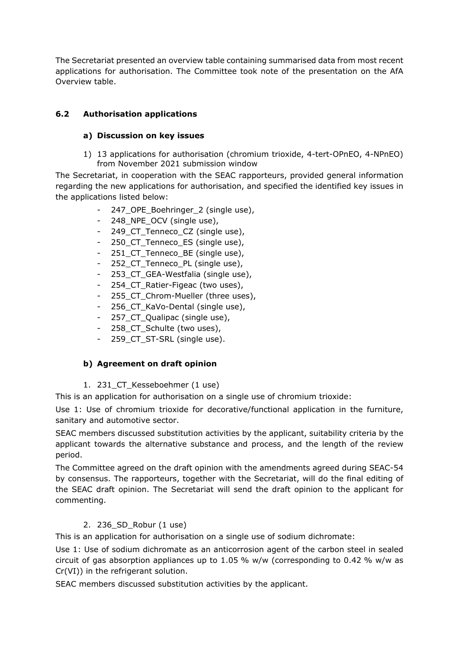The Secretariat presented an overview table containing summarised data from most recent applications for authorisation. The Committee took note of the presentation on the AfA Overview table.

# **6.2 Authorisation applications**

## **a) Discussion on key issues**

1) 13 applications for authorisation (chromium trioxide, 4-tert-OPnEO, 4-NPnEO) from November 2021 submission window

The Secretariat, in cooperation with the SEAC rapporteurs, provided general information regarding the new applications for authorisation, and specified the identified key issues in the applications listed below:

- 247\_OPE\_Boehringer\_2 (single use),
- 248 NPE OCV (single use),
- 249\_CT\_Tenneco\_CZ (single use),
- 250 CT Tenneco ES (single use),
- 251 CT Tenneco BE (single use),
- 252\_CT\_Tenneco\_PL (single use),
- 253\_CT\_GEA-Westfalia (single use),
- 254\_CT\_Ratier-Figeac (two uses),
- 255 CT Chrom-Mueller (three uses),
- 256 CT KaVo-Dental (single use),
- 257\_CT\_Qualipac (single use),
- 258\_CT\_Schulte (two uses),
- 259 CT ST-SRL (single use).

### **b) Agreement on draft opinion**

1. 231 CT Kesseboehmer (1 use)

This is an application for authorisation on a single use of chromium trioxide:

Use 1: Use of chromium trioxide for decorative/functional application in the furniture, sanitary and automotive sector.

SEAC members discussed substitution activities by the applicant, suitability criteria by the applicant towards the alternative substance and process, and the length of the review period.

The Committee agreed on the draft opinion with the amendments agreed during SEAC-54 by consensus. The rapporteurs, together with the Secretariat, will do the final editing of the SEAC draft opinion. The Secretariat will send the draft opinion to the applicant for commenting.

### 2. 236\_SD\_Robur (1 use)

This is an application for authorisation on a single use of sodium dichromate:

Use 1: Use of sodium dichromate as an anticorrosion agent of the carbon steel in sealed circuit of gas absorption appliances up to 1.05 % w/w (corresponding to 0.42 % w/w as Cr(VI)) in the refrigerant solution.

SEAC members discussed substitution activities by the applicant.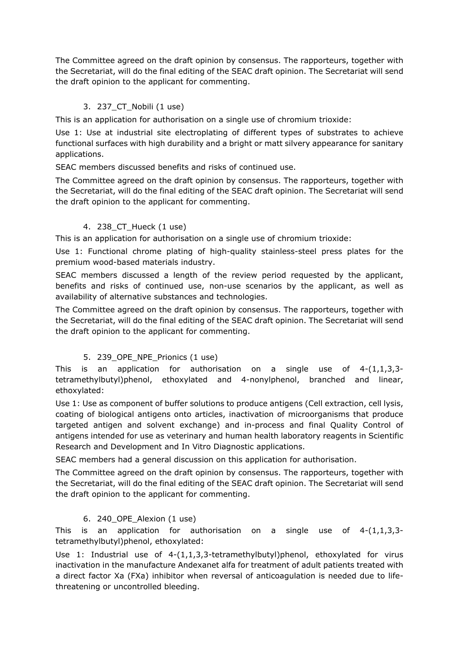The Committee agreed on the draft opinion by consensus. The rapporteurs, together with the Secretariat, will do the final editing of the SEAC draft opinion. The Secretariat will send the draft opinion to the applicant for commenting.

# 3. 237\_CT\_Nobili (1 use)

This is an application for authorisation on a single use of chromium trioxide:

Use 1: Use at industrial site electroplating of different types of substrates to achieve functional surfaces with high durability and a bright or matt silvery appearance for sanitary applications.

SEAC members discussed benefits and risks of continued use.

The Committee agreed on the draft opinion by consensus. The rapporteurs, together with the Secretariat, will do the final editing of the SEAC draft opinion. The Secretariat will send the draft opinion to the applicant for commenting.

## 4. 238\_CT\_Hueck (1 use)

This is an application for authorisation on a single use of chromium trioxide:

Use 1: Functional chrome plating of high-quality stainless-steel press plates for the premium wood-based materials industry.

SEAC members discussed a length of the review period requested by the applicant, benefits and risks of continued use, non-use scenarios by the applicant, as well as availability of alternative substances and technologies.

The Committee agreed on the draft opinion by consensus. The rapporteurs, together with the Secretariat, will do the final editing of the SEAC draft opinion. The Secretariat will send the draft opinion to the applicant for commenting.

# 5. 239\_OPE\_NPE\_Prionics (1 use)

This is an application for authorisation on a single use of  $4-(1,1,3,3-1)$ tetramethylbutyl)phenol, ethoxylated and 4-nonylphenol, branched and linear, ethoxylated:

Use 1: Use as component of buffer solutions to produce antigens (Cell extraction, cell lysis, coating of biological antigens onto articles, inactivation of microorganisms that produce targeted antigen and solvent exchange) and in-process and final Quality Control of antigens intended for use as veterinary and human health laboratory reagents in Scientific Research and Development and In Vitro Diagnostic applications.

SEAC members had a general discussion on this application for authorisation.

The Committee agreed on the draft opinion by consensus. The rapporteurs, together with the Secretariat, will do the final editing of the SEAC draft opinion. The Secretariat will send the draft opinion to the applicant for commenting.

# 6. 240\_OPE\_Alexion (1 use)

This is an application for authorisation on a single use of  $4-(1,1,3,3-1)$ tetramethylbutyl)phenol, ethoxylated:

Use 1: Industrial use of 4-(1,1,3,3-tetramethylbutyl)phenol, ethoxylated for virus inactivation in the manufacture Andexanet alfa for treatment of adult patients treated with a direct factor Xa (FXa) inhibitor when reversal of anticoagulation is needed due to lifethreatening or uncontrolled bleeding.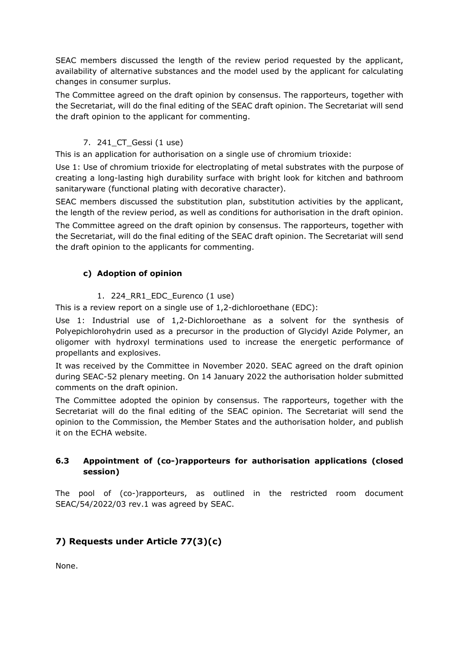SEAC members discussed the length of the review period requested by the applicant, availability of alternative substances and the model used by the applicant for calculating changes in consumer surplus.

The Committee agreed on the draft opinion by consensus. The rapporteurs, together with the Secretariat, will do the final editing of the SEAC draft opinion. The Secretariat will send the draft opinion to the applicant for commenting.

### 7. 241\_CT\_Gessi (1 use)

This is an application for authorisation on a single use of chromium trioxide:

Use 1: Use of chromium trioxide for electroplating of metal substrates with the purpose of creating a long-lasting high durability surface with bright look for kitchen and bathroom sanitaryware (functional plating with decorative character).

SEAC members discussed the substitution plan, substitution activities by the applicant, the length of the review period, as well as conditions for authorisation in the draft opinion.

The Committee agreed on the draft opinion by consensus. The rapporteurs, together with the Secretariat, will do the final editing of the SEAC draft opinion. The Secretariat will send the draft opinion to the applicants for commenting.

## **c) Adoption of opinion**

1. 224 RR1 EDC Eurenco (1 use)

This is a review report on a single use of 1,2-dichloroethane (EDC):

Use 1: Industrial use of 1,2-Dichloroethane as a solvent for the synthesis of Polyepichlorohydrin used as a precursor in the production of Glycidyl Azide Polymer, an oligomer with hydroxyl terminations used to increase the energetic performance of propellants and explosives.

It was received by the Committee in November 2020. SEAC agreed on the draft opinion during SEAC-52 plenary meeting. On 14 January 2022 the authorisation holder submitted comments on the draft opinion.

The Committee adopted the opinion by consensus. The rapporteurs, together with the Secretariat will do the final editing of the SEAC opinion. The Secretariat will send the opinion to the Commission, the Member States and the authorisation holder, and publish it on the ECHA website.

### **6.3 Appointment of (co-)rapporteurs for authorisation applications (closed session)**

The pool of (co-)rapporteurs, as outlined in the restricted room document SEAC/54/2022/03 rev.1 was agreed by SEAC.

# **7) Requests under Article 77(3)(c)**

None.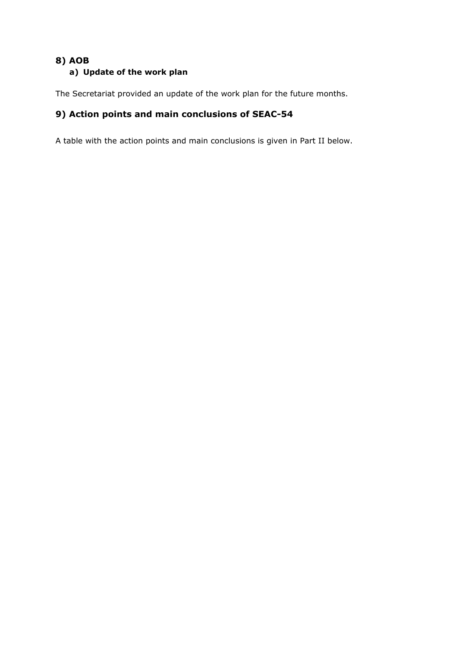# **8) AOB a) Update of the work plan**

The Secretariat provided an update of the work plan for the future months.

# **9) Action points and main conclusions of SEAC-54**

A table with the action points and main conclusions is given in Part II below.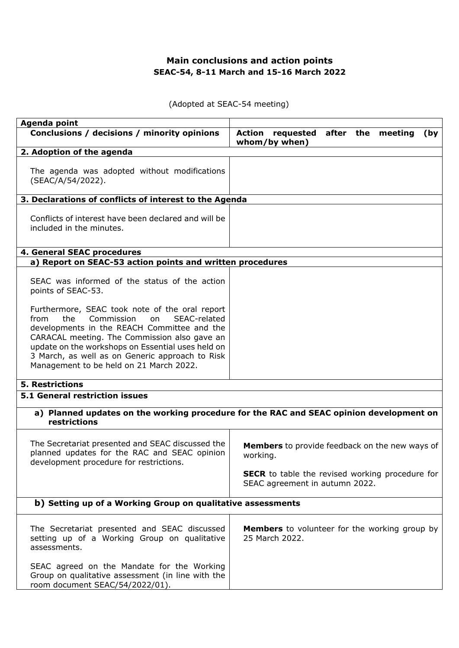# **Main conclusions and action points SEAC-54, 8-11 March and 15-16 March 2022**

(Adopted at SEAC-54 meeting)

| Agenda point                                                                                                                                                                                                                                                                                                                                        |                                                                                          |
|-----------------------------------------------------------------------------------------------------------------------------------------------------------------------------------------------------------------------------------------------------------------------------------------------------------------------------------------------------|------------------------------------------------------------------------------------------|
| Conclusions / decisions / minority opinions                                                                                                                                                                                                                                                                                                         | Action<br>requested after the meeting<br>(by<br>whom/by when)                            |
| 2. Adoption of the agenda                                                                                                                                                                                                                                                                                                                           |                                                                                          |
| The agenda was adopted without modifications<br>(SEAC/A/54/2022).                                                                                                                                                                                                                                                                                   |                                                                                          |
| 3. Declarations of conflicts of interest to the Agenda                                                                                                                                                                                                                                                                                              |                                                                                          |
| Conflicts of interest have been declared and will be<br>included in the minutes.                                                                                                                                                                                                                                                                    |                                                                                          |
| 4. General SEAC procedures                                                                                                                                                                                                                                                                                                                          |                                                                                          |
| a) Report on SEAC-53 action points and written procedures                                                                                                                                                                                                                                                                                           |                                                                                          |
| SEAC was informed of the status of the action<br>points of SEAC-53.                                                                                                                                                                                                                                                                                 |                                                                                          |
| Furthermore, SEAC took note of the oral report<br>from<br>the<br>Commission<br>SEAC-related<br>on<br>developments in the REACH Committee and the<br>CARACAL meeting. The Commission also gave an<br>update on the workshops on Essential uses held on<br>3 March, as well as on Generic approach to Risk<br>Management to be held on 21 March 2022. |                                                                                          |
| <b>5. Restrictions</b>                                                                                                                                                                                                                                                                                                                              |                                                                                          |
| <b>5.1 General restriction issues</b>                                                                                                                                                                                                                                                                                                               |                                                                                          |
| a) Planned updates on the working procedure for the RAC and SEAC opinion development on<br>restrictions                                                                                                                                                                                                                                             |                                                                                          |
| The Secretariat presented and SEAC discussed the<br>planned updates for the RAC and SEAC opinion<br>development procedure for restrictions.                                                                                                                                                                                                         | <b>Members</b> to provide feedback on the new ways of<br>working.                        |
|                                                                                                                                                                                                                                                                                                                                                     | <b>SECR</b> to table the revised working procedure for<br>SEAC agreement in autumn 2022. |
| b) Setting up of a Working Group on qualitative assessments                                                                                                                                                                                                                                                                                         |                                                                                          |
| The Secretariat presented and SEAC discussed<br>setting up of a Working Group on qualitative<br>assessments.                                                                                                                                                                                                                                        | <b>Members</b> to volunteer for the working group by<br>25 March 2022.                   |
| SEAC agreed on the Mandate for the Working<br>Group on qualitative assessment (in line with the<br>room document SEAC/54/2022/01).                                                                                                                                                                                                                  |                                                                                          |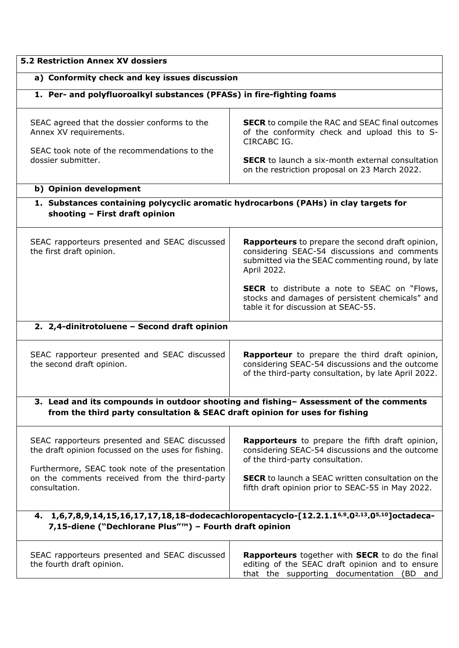| <b>5.2 Restriction Annex XV dossiers</b>                                                                                                              |                                                                                                                                                                                                                                    |
|-------------------------------------------------------------------------------------------------------------------------------------------------------|------------------------------------------------------------------------------------------------------------------------------------------------------------------------------------------------------------------------------------|
| a) Conformity check and key issues discussion                                                                                                         |                                                                                                                                                                                                                                    |
| 1. Per- and polyfluoroalkyl substances (PFASs) in fire-fighting foams                                                                                 |                                                                                                                                                                                                                                    |
| SEAC agreed that the dossier conforms to the<br>Annex XV requirements.<br>SEAC took note of the recommendations to the<br>dossier submitter.          | <b>SECR</b> to compile the RAC and SEAC final outcomes<br>of the conformity check and upload this to S-<br>CIRCABC IG.<br><b>SECR</b> to launch a six-month external consultation<br>on the restriction proposal on 23 March 2022. |
| b) Opinion development                                                                                                                                |                                                                                                                                                                                                                                    |
| 1. Substances containing polycyclic aromatic hydrocarbons (PAHs) in clay targets for<br>shooting - First draft opinion                                |                                                                                                                                                                                                                                    |
| SEAC rapporteurs presented and SEAC discussed<br>the first draft opinion.                                                                             | Rapporteurs to prepare the second draft opinion,<br>considering SEAC-54 discussions and comments<br>submitted via the SEAC commenting round, by late<br>April 2022.                                                                |
|                                                                                                                                                       | <b>SECR</b> to distribute a note to SEAC on "Flows,<br>stocks and damages of persistent chemicals" and<br>table it for discussion at SEAC-55.                                                                                      |
| 2. 2,4-dinitrotoluene - Second draft opinion                                                                                                          |                                                                                                                                                                                                                                    |
| SEAC rapporteur presented and SEAC discussed<br>the second draft opinion.                                                                             | Rapporteur to prepare the third draft opinion,<br>considering SEAC-54 discussions and the outcome<br>of the third-party consultation, by late April 2022.                                                                          |
| from the third party consultation & SEAC draft opinion for uses for fishing                                                                           | 3. Lead and its compounds in outdoor shooting and fishing- Assessment of the comments                                                                                                                                              |
|                                                                                                                                                       |                                                                                                                                                                                                                                    |
| SEAC rapporteurs presented and SEAC discussed<br>the draft opinion focussed on the uses for fishing.                                                  | Rapporteurs to prepare the fifth draft opinion,<br>considering SEAC-54 discussions and the outcome<br>of the third-party consultation.                                                                                             |
| Furthermore, SEAC took note of the presentation<br>on the comments received from the third-party<br>consultation.                                     | <b>SECR</b> to launch a SEAC written consultation on the<br>fifth draft opinion prior to SEAC-55 in May 2022.                                                                                                                      |
| 4. 1,6,7,8,9,14,15,16,17,17,18,18-dodecachloropentacyclo-[12.2.1.16,9.02,13.05,10]octadeca-<br>7,15-diene ("Dechlorane Plus"™) - Fourth draft opinion |                                                                                                                                                                                                                                    |
| SEAC rapporteurs presented and SEAC discussed<br>the fourth draft opinion.                                                                            | Rapporteurs together with SECR to do the final<br>editing of the SEAC draft opinion and to ensure<br>that the supporting documentation (BD and                                                                                     |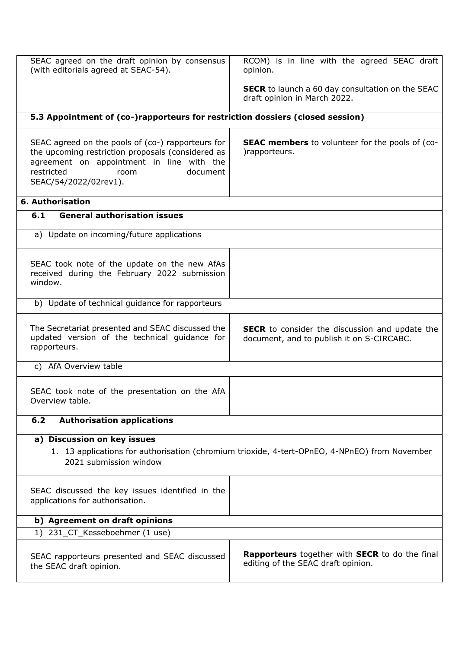| SEAC agreed on the draft opinion by consensus<br>(with editorials agreed at SEAC-54).                                                                                                                          | RCOM) is in line with the agreed SEAC draft<br>opinion.                                            |
|----------------------------------------------------------------------------------------------------------------------------------------------------------------------------------------------------------------|----------------------------------------------------------------------------------------------------|
|                                                                                                                                                                                                                | <b>SECR</b> to launch a 60 day consultation on the SEAC<br>draft opinion in March 2022.            |
| 5.3 Appointment of (co-)rapporteurs for restriction dossiers (closed session)                                                                                                                                  |                                                                                                    |
|                                                                                                                                                                                                                |                                                                                                    |
| SEAC agreed on the pools of (co-) rapporteurs for<br>the upcoming restriction proposals (considered as<br>agreement on appointment in line with the<br>restricted<br>document<br>room<br>SEAC/54/2022/02rev1). | <b>SEAC members</b> to volunteer for the pools of (co-<br>)rapporteurs.                            |
| 6. Authorisation                                                                                                                                                                                               |                                                                                                    |
| <b>General authorisation issues</b><br>6.1                                                                                                                                                                     |                                                                                                    |
| a) Update on incoming/future applications                                                                                                                                                                      |                                                                                                    |
|                                                                                                                                                                                                                |                                                                                                    |
| SEAC took note of the update on the new AfAs<br>received during the February 2022 submission<br>window.                                                                                                        |                                                                                                    |
| b) Update of technical guidance for rapporteurs                                                                                                                                                                |                                                                                                    |
| The Secretariat presented and SEAC discussed the<br>updated version of the technical guidance for<br>rapporteurs.                                                                                              | <b>SECR</b> to consider the discussion and update the<br>document, and to publish it on S-CIRCABC. |
| c) AfA Overview table                                                                                                                                                                                          |                                                                                                    |
| SEAC took note of the presentation on the AfA<br>Overview table.                                                                                                                                               |                                                                                                    |
| <b>Authorisation applications</b><br>6.2                                                                                                                                                                       |                                                                                                    |
| a) Discussion on key issues                                                                                                                                                                                    |                                                                                                    |
| 2021 submission window                                                                                                                                                                                         | 1. 13 applications for authorisation (chromium trioxide, 4-tert-OPnEO, 4-NPnEO) from November      |
| SEAC discussed the key issues identified in the<br>applications for authorisation.                                                                                                                             |                                                                                                    |
| b) Agreement on draft opinions                                                                                                                                                                                 |                                                                                                    |
| 1) 231_CT_Kesseboehmer (1 use)                                                                                                                                                                                 |                                                                                                    |
| SEAC rapporteurs presented and SEAC discussed<br>the SEAC draft opinion.                                                                                                                                       | Rapporteurs together with SECR to do the final<br>editing of the SEAC draft opinion.               |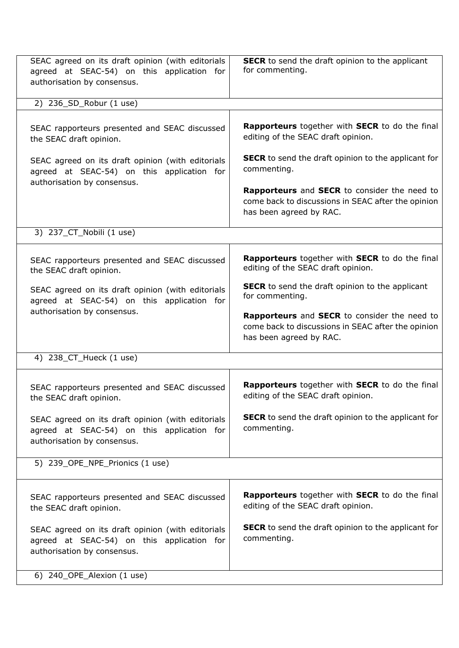| SEAC agreed on its draft opinion (with editorials<br>agreed at SEAC-54) on this application for<br>authorisation by consensus. | SECR to send the draft opinion to the applicant<br>for commenting.                                                            |
|--------------------------------------------------------------------------------------------------------------------------------|-------------------------------------------------------------------------------------------------------------------------------|
| 2) 236_SD_Robur (1 use)                                                                                                        |                                                                                                                               |
| SEAC rapporteurs presented and SEAC discussed<br>the SEAC draft opinion.                                                       | Rapporteurs together with SECR to do the final<br>editing of the SEAC draft opinion.                                          |
| SEAC agreed on its draft opinion (with editorials<br>agreed at SEAC-54) on this application for<br>authorisation by consensus. | <b>SECR</b> to send the draft opinion to the applicant for<br>commenting.                                                     |
|                                                                                                                                | Rapporteurs and SECR to consider the need to<br>come back to discussions in SEAC after the opinion<br>has been agreed by RAC. |
| 3) 237_CT_Nobili (1 use)                                                                                                       |                                                                                                                               |
| SEAC rapporteurs presented and SEAC discussed<br>the SEAC draft opinion.                                                       | Rapporteurs together with SECR to do the final<br>editing of the SEAC draft opinion.                                          |
| SEAC agreed on its draft opinion (with editorials<br>agreed at SEAC-54) on this application for                                | <b>SECR</b> to send the draft opinion to the applicant<br>for commenting.                                                     |
| authorisation by consensus.                                                                                                    | Rapporteurs and SECR to consider the need to<br>come back to discussions in SEAC after the opinion<br>has been agreed by RAC. |
| 4) 238_CT_Hueck (1 use)                                                                                                        |                                                                                                                               |
| SEAC rapporteurs presented and SEAC discussed<br>the SEAC draft opinion.                                                       | Rapporteurs together with SECR to do the final<br>editing of the SEAC draft opinion.                                          |
| SEAC agreed on its draft opinion (with editorials<br>agreed at SEAC-54) on this application for<br>authorisation by consensus. | <b>SECR</b> to send the draft opinion to the applicant for<br>commenting.                                                     |
| 5) 239_OPE_NPE_Prionics (1 use)                                                                                                |                                                                                                                               |
| SEAC rapporteurs presented and SEAC discussed<br>the SEAC draft opinion.                                                       | Rapporteurs together with SECR to do the final<br>editing of the SEAC draft opinion.                                          |
| SEAC agreed on its draft opinion (with editorials<br>agreed at SEAC-54) on this application for<br>authorisation by consensus. | <b>SECR</b> to send the draft opinion to the applicant for<br>commenting.                                                     |
| 6) 240_OPE_Alexion (1 use)                                                                                                     |                                                                                                                               |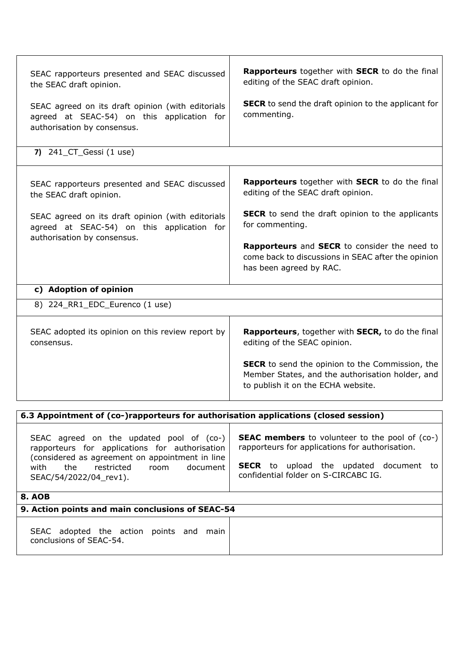| SEAC rapporteurs presented and SEAC discussed<br>the SEAC draft opinion.<br>SEAC agreed on its draft opinion (with editorials<br>agreed at SEAC-54) on this application for<br>authorisation by consensus.               | Rapporteurs together with SECR to do the final<br>editing of the SEAC draft opinion.<br><b>SECR</b> to send the draft opinion to the applicant for<br>commenting.                                 |
|--------------------------------------------------------------------------------------------------------------------------------------------------------------------------------------------------------------------------|---------------------------------------------------------------------------------------------------------------------------------------------------------------------------------------------------|
| 7) $241$ <sub>-CT</sub> Gessi (1 use)                                                                                                                                                                                    |                                                                                                                                                                                                   |
| SEAC rapporteurs presented and SEAC discussed<br>the SEAC draft opinion.                                                                                                                                                 | Rapporteurs together with SECR to do the final<br>editing of the SEAC draft opinion.                                                                                                              |
| SEAC agreed on its draft opinion (with editorials<br>agreed at SEAC-54) on this application for<br>authorisation by consensus.                                                                                           | <b>SECR</b> to send the draft opinion to the applicants<br>for commenting.                                                                                                                        |
|                                                                                                                                                                                                                          | <b>Rapporteurs</b> and <b>SECR</b> to consider the need to<br>come back to discussions in SEAC after the opinion<br>has been agreed by RAC.                                                       |
| c) Adoption of opinion                                                                                                                                                                                                   |                                                                                                                                                                                                   |
| 8) 224_RR1_EDC_Eurenco (1 use)                                                                                                                                                                                           |                                                                                                                                                                                                   |
| SEAC adopted its opinion on this review report by<br>consensus.                                                                                                                                                          | Rapporteurs, together with SECR, to do the final<br>editing of the SEAC opinion.                                                                                                                  |
|                                                                                                                                                                                                                          | <b>SECR</b> to send the opinion to the Commission, the<br>Member States, and the authorisation holder, and<br>to publish it on the ECHA website.                                                  |
| 6.3 Appointment of (co-)rapporteurs for authorisation applications (closed session)                                                                                                                                      |                                                                                                                                                                                                   |
| SEAC agreed on the updated pool of (co-)<br>rapporteurs for applications for authorisation<br>(considered as agreement on appointment in line<br>document<br>with<br>the<br>restricted<br>room<br>SEAC/54/2022/04_rev1). | <b>SEAC members</b> to volunteer to the pool of (co-)<br>rapporteurs for applications for authorisation.<br><b>SECR</b> to upload the updated document to<br>confidential folder on S-CIRCABC IG. |
| <b>8. AOB</b>                                                                                                                                                                                                            |                                                                                                                                                                                                   |
| 9. Action points and main conclusions of SEAC-54                                                                                                                                                                         |                                                                                                                                                                                                   |
| SEAC adopted the action points and main<br>conclusions of SEAC-54.                                                                                                                                                       |                                                                                                                                                                                                   |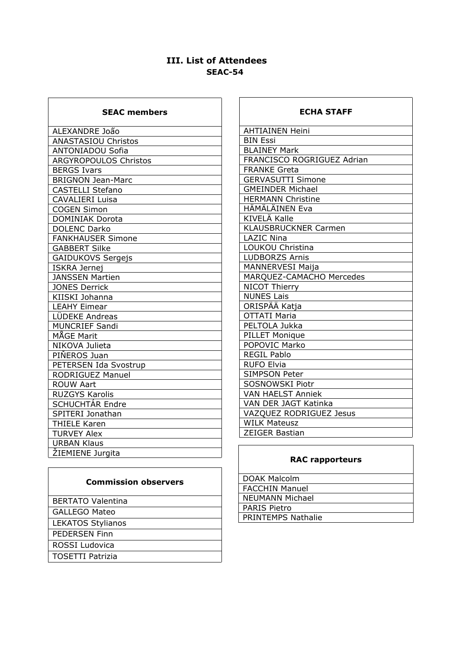# **III. List of Attendees SEAC-54**

٦

| <b>SEAC members</b>          |
|------------------------------|
| ALEXANDRE João               |
| <b>ANASTASIOU Christos</b>   |
| <b>ANTONIADOU Sofia</b>      |
| <b>ARGYROPOULOS Christos</b> |
| <b>BERGS Ivars</b>           |
| <b>BRIGNON Jean-Marc</b>     |
| <b>CASTELLI Stefano</b>      |
| <b>CAVALIERI Luisa</b>       |
| <b>COGEN Simon</b>           |
| <b>DOMINIAK Dorota</b>       |
| <b>DOLENC Darko</b>          |
| <b>FANKHAUSER Simone</b>     |
| <b>GABBERT Silke</b>         |
| <b>GAIDUKOVS Sergejs</b>     |
| <b>ISKRA Jernej</b>          |
| <b>JANSSEN Martien</b>       |
| <b>JONES Derrick</b>         |
| KIISKI Johanna               |
| <b>LEAHY Eimear</b>          |
| LÜDEKE Andreas               |
| <b>MUNCRIEF Sandi</b>        |
| MÅGE Marit                   |
| NIKOVA Julieta               |
| PIŇEROS Juan                 |
| PETERSEN Ida Svostrup        |
| <b>RODRIGUEZ Manuel</b>      |
| <b>ROUW Aart</b>             |
| <b>RUZGYS Karolis</b>        |
| SCHUCHTÁR Endre              |
| SPITERI Jonathan             |
| <b>THIELE Karen</b>          |
| <b>TURVEY Alex</b>           |
| <b>URBAN Klaus</b>           |
| ŽIEMIENE Jurgita             |

#### **Stakeholder observers & Commission observers**

| <b>BERTATO Valentina</b> |
|--------------------------|
| <b>GALLEGO Mateo</b>     |
| <b>LEKATOS Stylianos</b> |
| <b>PEDERSEN Finn</b>     |
| ROSSI Ludovica           |
| <b>TOSETTI Patrizia</b>  |
|                          |

#### **ECHA STAFF**

| <b>AHTIAINEN Heini</b>      |
|-----------------------------|
| <b>BIN Essi</b>             |
| <b>BLAINEY Mark</b>         |
| FRANCISCO ROGRIGUEZ Adrian  |
| <b>FRANKE Greta</b>         |
| <b>GERVASUTTI Simone</b>    |
| <b>GMEINDER Michael</b>     |
| <b>HERMANN Christine</b>    |
| HÄMÄLÄINEN Eva              |
| KIVELÄ Kalle                |
| <b>KLAUSBRUCKNER Carmen</b> |
| <b>LAZIC Nina</b>           |
| <b>LOUKOU Christina</b>     |
| <b>LUDBORZS Arnis</b>       |
| <b>MANNERVESI Maija</b>     |
| MARQUEZ-CAMACHO Mercedes    |
| <b>NICOT Thierry</b>        |
| <b>NUNES Lais</b>           |
| ORISPÄÄ Katia               |
| <b>OTTATI Maria</b>         |
| PELTOLA Jukka               |
| <b>PILLET Monique</b>       |
| POPOVIC Marko               |
| <b>REGIL Pablo</b>          |
| <b>RUFO Elvia</b>           |
| <b>SIMPSON Peter</b>        |
| <b>SOSNOWSKI Piotr</b>      |
| <b>VAN HAELST Anniek</b>    |
| VAN DER JAGT Katinka        |
| VAZQUEZ RODRIGUEZ Jesus     |
| <b>WILK Mateusz</b>         |
| <b>ZEIGER Bastian</b>       |
|                             |

# **RAC rapporteurs**

| l DOAK Malcolm      |
|---------------------|
| FACCHIN Manuel      |
| l NEUMANN Michael   |
| <b>PARIS Pietro</b> |
| PRINTEMPS Nathalie  |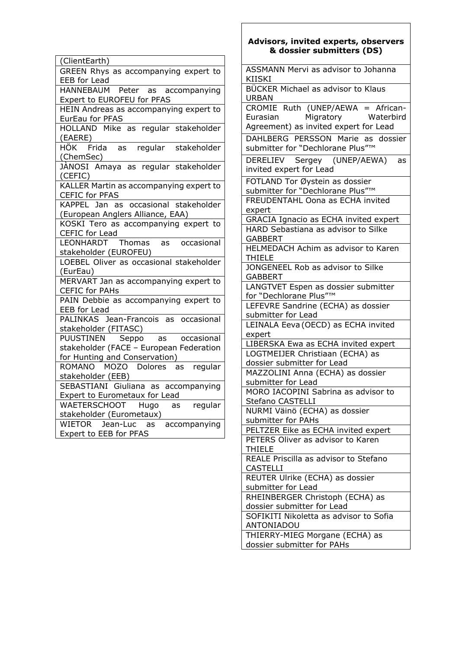| (ClientEarth)                                                            |
|--------------------------------------------------------------------------|
| GREEN Rhys as accompanying expert to                                     |
| EEB for Lead                                                             |
| HANNEBAUM Peter as accompanying                                          |
| Expert to EUROFEU for PFAS                                               |
| HEIN Andreas as accompanying expert to                                   |
| EurEau for PFAS                                                          |
| HOLLAND Mike as regular stakeholder<br>(EAERE)                           |
| HÖK Frida<br>as regular<br>stakeholder                                   |
| (ChemSec)                                                                |
| JANOSI Amaya as regular stakeholder                                      |
| (CEFIC)                                                                  |
| KALLER Martin as accompanying expert to                                  |
| CEFIC for PFAS                                                           |
| KAPPEL Jan as occasional stakeholder                                     |
| (European Anglers Alliance, EAA)                                         |
| KOSKI Tero as accompanying expert to                                     |
| <b>CEFIC</b> for Lead                                                    |
| LEONHARDT Thomas<br>occasional<br>as                                     |
| stakeholder (EUROFEU)                                                    |
| LOEBEL Oliver as occasional stakeholder                                  |
| (EurEau)                                                                 |
| MERVART Jan as accompanying expert to                                    |
| <b>CEFIC for PAHs</b>                                                    |
| PAIN Debbie as accompanying expert to                                    |
| EEB for Lead                                                             |
| PALINKAS Jean-Francois as occasional                                     |
| stakeholder (FITASC)                                                     |
| PUUSTINEN Seppo as occasional<br>stakeholder (FACE - European Federation |
| for Hunting and Conservation)                                            |
| ROMANO MOZO Dolores as regular                                           |
| stakeholder (EEB)                                                        |
| SEBASTIANI Giuliana as<br>accompanying                                   |
| Expert to Eurometaux for Lead                                            |
| WAETERSCHOOT Hugo<br>regular<br>as                                       |
| stakeholder (Eurometaux)                                                 |
| accompanying<br>WIETOR Jean-Luc<br>as                                    |
| Expert to EEB for PFAS                                                   |
|                                                                          |

### **Advisors, invited experts, observers & dossier submitters (DS)**

| <b>ASSMANN Mervi as advisor to Johanna</b><br><b>KIISKI</b>           |
|-----------------------------------------------------------------------|
| BÜCKER Michael as advisor to Klaus<br>URBAN                           |
|                                                                       |
| CROMIE Ruth (UNEP/AEWA = African-                                     |
|                                                                       |
| Eurasian Migratory Waterbird<br>Agreement) as invited expert for Lead |
| DAHLBERG PERSSON Marie as dossier                                     |
| submitter for "Dechlorane Plus"™                                      |
|                                                                       |
| DERELIEV Sergey (UNEP/AEWA)<br>as                                     |
| invited expert for Lead                                               |
| FOTLAND Tor Øystein as dossier                                        |
|                                                                       |
| submitter for "Dechlorane Plus"™                                      |
| FREUDENTAHL Oona as ECHA invited                                      |
| expert                                                                |
| GRACIA Ignacio as ECHA invited expert                                 |
|                                                                       |
| HARD Sebastiana as advisor to Silke                                   |
| GABBERT                                                               |
| HELMEDACH Achim as advisor to Karen                                   |
| THIELE                                                                |
| JONGENEEL Rob as advisor to Silke                                     |
|                                                                       |
| <b>GABBERT</b>                                                        |
| LANGTVET Espen as dossier submitter                                   |
| for "Dechlorane Plus"™                                                |
| LEFEVRE Sandrine (ECHA) as dossier                                    |
|                                                                       |
| submitter for Lead                                                    |
| LEINALA Eeva (OECD) as ECHA invited                                   |
| expert                                                                |
| LIBERSKA Ewa as ECHA invited expert                                   |
| LOGTMEIJER Christiaan (ECHA) as                                       |
|                                                                       |
| dossier submitter for Lead                                            |
| MAZZOLINI Anna (ECHA) as dossier                                      |
| submitter for Lead                                                    |
| MORO IACOPINI Sabrina as advisor to                                   |
| Stefano CASTELLI                                                      |
|                                                                       |
| NURMI Väinö (ECHA) as dossier                                         |
| submitter for PAHs                                                    |
| PELTZER Eike as ECHA invited expert                                   |
| PETERS Oliver as advisor to Karen                                     |
| <b>THIELE</b>                                                         |
|                                                                       |
| REALE Priscilla as advisor to Stefano                                 |
| <b>CASTELLI</b>                                                       |
| REUTER Ulrike (ECHA) as dossier                                       |
| submitter for Lead                                                    |
|                                                                       |
| RHEINBERGER Christoph (ECHA) as                                       |
| dossier submitter for Lead                                            |
| SOFIKITI Nikoletta as advisor to Sofia                                |
| ANTONIADOU                                                            |
|                                                                       |
|                                                                       |
| THIERRY-MIEG Morgane (ECHA) as<br>dossier submitter for PAHs          |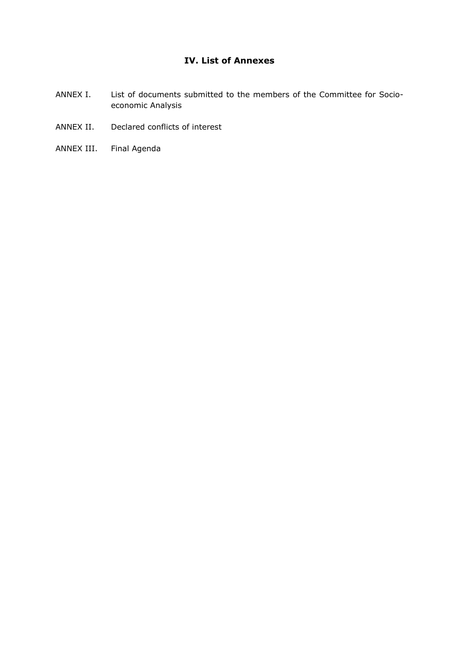# **IV. List of Annexes**

- ANNEX I. List of documents submitted to the members of the Committee for Socioeconomic Analysis
- ANNEX II. Declared conflicts of interest
- ANNEX III. Final Agenda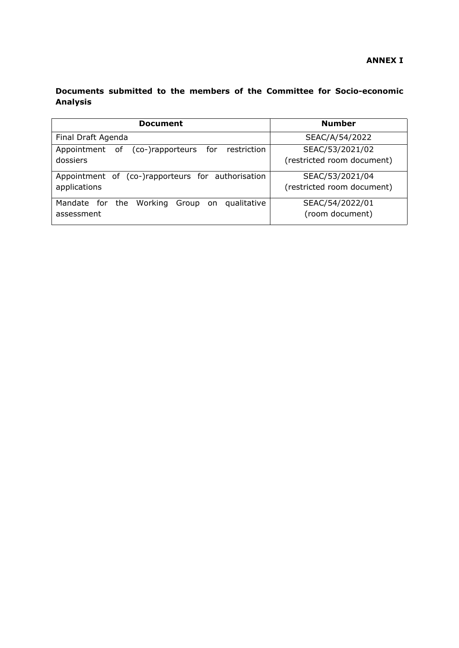# **Documents submitted to the members of the Committee for Socio-economic Analysis**

| <b>Document</b>                                       | <b>Number</b>              |
|-------------------------------------------------------|----------------------------|
| Final Draft Agenda                                    | SEAC/A/54/2022             |
| (co-)rapporteurs for restriction<br>Appointment<br>of | SEAC/53/2021/02            |
| dossiers                                              | (restricted room document) |
| Appointment of (co-)rapporteurs for authorisation     | SEAC/53/2021/04            |
| applications                                          | (restricted room document) |
| Mandate for the Working Group on<br>qualitative       | SEAC/54/2022/01            |
| assessment                                            | (room document)            |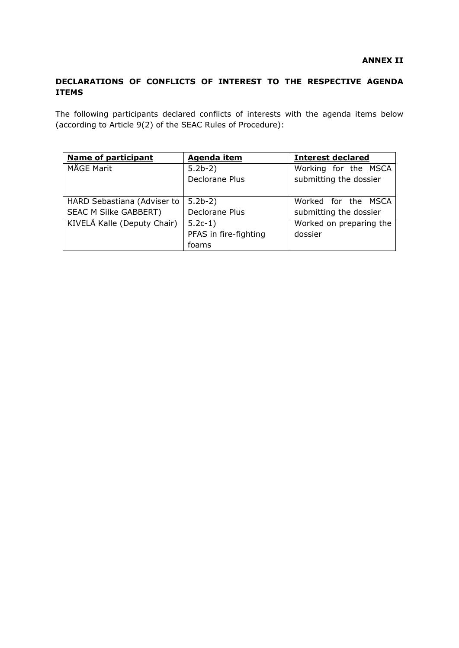### **DECLARATIONS OF CONFLICTS OF INTEREST TO THE RESPECTIVE AGENDA ITEMS**

The following participants declared conflicts of interests with the agenda items below (according to Article 9(2) of the SEAC Rules of Procedure):

| <b>Name of participant</b>   | <b>Agenda item</b>    | <b>Interest declared</b> |
|------------------------------|-----------------------|--------------------------|
| MÅGE Marit                   | $5.2b-2)$             | Working for the MSCA     |
|                              | Declorane Plus        | submitting the dossier   |
|                              |                       |                          |
| HARD Sebastiana (Adviser to  | $5.2b-2)$             | Worked for the MSCA      |
| <b>SEAC M Silke GABBERT)</b> | Declorane Plus        | submitting the dossier   |
| KIVELÄ Kalle (Deputy Chair)  | $5.2c-1)$             | Worked on preparing the  |
|                              | PFAS in fire-fighting | dossier                  |
|                              | foams                 |                          |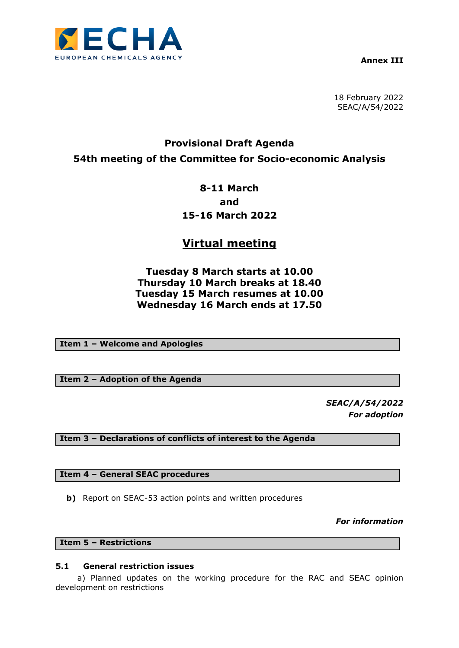

**Annex III**

18 February 2022 SEAC/A/54/2022

# **Provisional Draft Agenda 54th meeting of the Committee for Socio-economic Analysis**

# **8-11 March and 15-16 March 2022**

# **Virtual meeting**

# **Tuesday 8 March starts at 10.00 Thursday 10 March breaks at 18.40 Tuesday 15 March resumes at 10.00 Wednesday 16 March ends at 17.50**

**Item 1 – Welcome and Apologies**

**Item 2 – Adoption of the Agenda**

*SEAC/A/54/2022 For adoption*

**Item 3 – Declarations of conflicts of interest to the Agenda**

**Item 4 – General SEAC procedures**

**b)** Report on SEAC-53 action points and written procedures

*For information*

**Item 5 – Restrictions**

#### **5.1 General restriction issues**

a) Planned updates on the working procedure for the RAC and SEAC opinion development on restrictions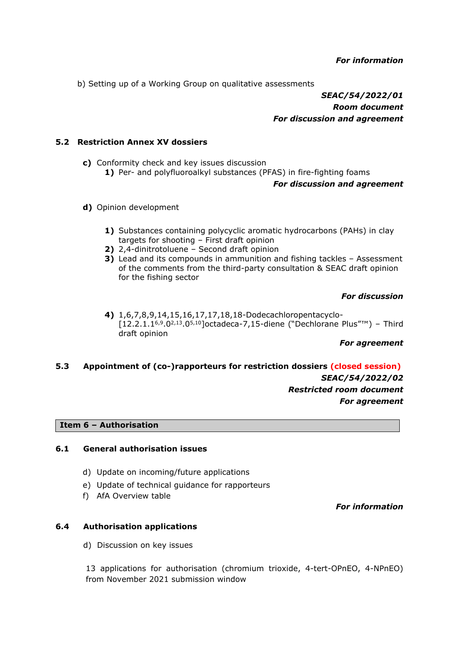b) Setting up of a Working Group on qualitative assessments

*SEAC/54/2022/01 Room document For discussion and agreement*

#### **5.2 Restriction Annex XV dossiers**

- **c)** Conformity check and key issues discussion **1)** Per- and polyfluoroalkyl substances (PFAS) in fire-fighting foams *For discussion and agreement*
- **d)** Opinion development
	- **1)** Substances containing polycyclic aromatic hydrocarbons (PAHs) in clay targets for shooting – First draft opinion
	- **2)** 2,4-dinitrotoluene Second draft opinion
	- **3)** Lead and its compounds in ammunition and fishing tackles Assessment of the comments from the third-party consultation & SEAC draft opinion for the fishing sector

#### *For discussion*

**4)** 1,6,7,8,9,14,15,16,17,17,18,18-Dodecachloropentacyclo- [12.2.1.16,9.02,13.05,10]octadeca-7,15-diene ("Dechlorane Plus"™) – Third draft opinion

#### *For agreement*

#### **5.3 Appointment of (co-)rapporteurs for restriction dossiers (closed session)**

*SEAC/54/2022/02 Restricted room document For agreement*

#### **Item 6 – Authorisation**

#### **6.1 General authorisation issues**

- d) Update on incoming/future applications
- e) Update of technical guidance for rapporteurs
- f) AfA Overview table

#### *For information*

#### **6.4 Authorisation applications**

d) Discussion on key issues

13 applications for authorisation (chromium trioxide, 4-tert-OPnEO, 4-NPnEO) from November 2021 submission window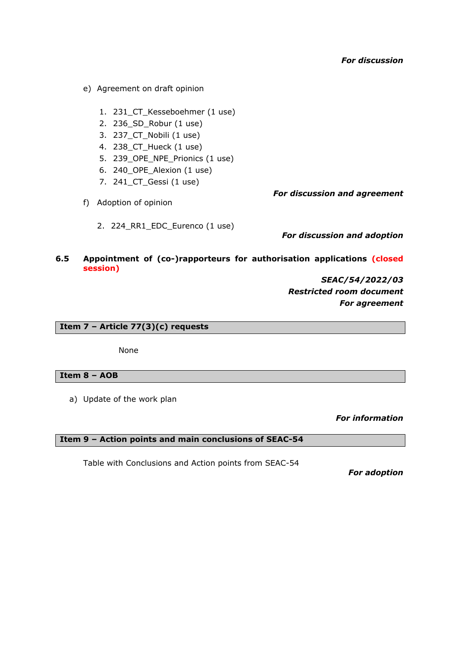- e) Agreement on draft opinion
	- 1. 231\_CT\_Kesseboehmer (1 use)
	- 2. 236\_SD\_Robur (1 use)
	- 3. 237\_CT\_Nobili (1 use)
	- 4. 238\_CT\_Hueck (1 use)
	- 5. 239 OPE NPE Prionics (1 use)
	- 6. 240\_OPE\_Alexion (1 use)
	- 7. 241\_CT\_Gessi (1 use)

f) Adoption of opinion

2. 224\_RR1\_EDC\_Eurenco (1 use)

*For discussion and agreement*

*For discussion and adoption*

#### **6.5 Appointment of (co-)rapporteurs for authorisation applications (closed session)**

*SEAC/54/2022/03 Restricted room document For agreement*

**Item 7 – Article 77(3)(c) requests**

None

#### **Item 8 – AOB**

a) Update of the work plan

*For information*

**Item 9 – Action points and main conclusions of SEAC-54**

Table with Conclusions and Action points from SEAC-54

*For adoption*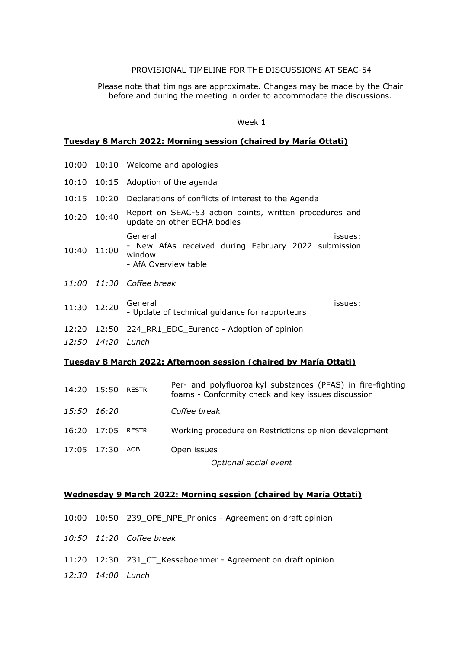#### PROVISIONAL TIMELINE FOR THE DISCUSSIONS AT SEAC-54

Please note that timings are approximate. Changes may be made by the Chair before and during the meeting in order to accommodate the discussions.

#### Week 1

#### **Tuesday 8 March 2022: Morning session (chaired by María Ottati)**

|       |                   | 10:00 10:10 Welcome and apologies                                                                           |
|-------|-------------------|-------------------------------------------------------------------------------------------------------------|
|       |                   | 10:10 10:15 Adoption of the agenda                                                                          |
| 10:15 |                   | 10:20 Declarations of conflicts of interest to the Agenda                                                   |
| 10:20 | 10:40             | Report on SEAC-53 action points, written procedures and<br>update on other ECHA bodies                      |
| 10:40 | 11:00             | General<br>issues:<br>- New AfAs received during February 2022 submission<br>window<br>- AfA Overview table |
|       |                   | 11:00 11:30 Coffee break                                                                                    |
| 11:30 | 12:20             | General<br>issues:<br>- Update of technical guidance for rapporteurs                                        |
|       |                   | 12:20 12:50 224_RR1_EDC_Eurenco - Adoption of opinion                                                       |
|       | 12:50 14:20 Lunch |                                                                                                             |
|       |                   |                                                                                                             |

# **Tuesday 8 March 2022: Afternoon session (chaired by María Ottati)**

| 14:20 15:50       | RESTR | Per- and polyfluoroalkyl substances (PFAS) in fire-fighting<br>foams - Conformity check and key issues discussion |
|-------------------|-------|-------------------------------------------------------------------------------------------------------------------|
| 15:50 16:20       |       | Coffee break                                                                                                      |
| 16:20 17:05 RESTR |       | Working procedure on Restrictions opinion development                                                             |
| 17:05 17:30       | AOB   | Open issues                                                                                                       |
|                   |       | Optional social event                                                                                             |

#### **Wednesday 9 March 2022: Morning session (chaired by María Ottati)**

- 10:00 10:50 239\_OPE\_NPE\_Prionics Agreement on draft opinion
- *10:50 11:20 Coffee break*
- 11:20 12:30 231\_CT\_Kesseboehmer Agreement on draft opinion
- *12:30 14:00 Lunch*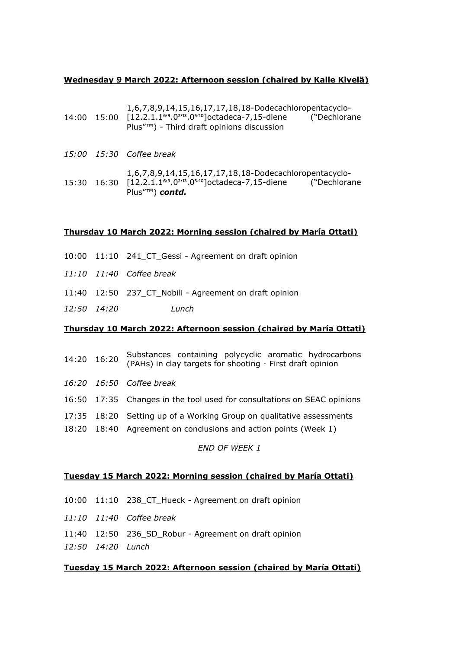#### **Wednesday 9 March 2022: Afternoon session (chaired by Kalle Kivelä)**

|  | 1,6,7,8,9,14,15,16,17,17,18,18-Dodecachloropentacyclo-<br>14:00  15:00  [12.2.1.1 <sup>6</sup> <sup>9</sup> .0 <sup>2/13</sup> .0 <sup>5/10</sup> ]octadeca-7,15-diene<br>("Dechlorane<br>Plus"™) - Third draft opinions discussion         |
|--|---------------------------------------------------------------------------------------------------------------------------------------------------------------------------------------------------------------------------------------------|
|  | 15:00 15:30 Coffee break                                                                                                                                                                                                                    |
|  | 1,6,7,8,9,14,15,16,17,17,18,18-Dodecachloropentacyclo-<br>15:30 16:30 [12.2.1.1 <sup>6</sup> <sup>9</sup> .0 <sup>2</sup> /13.0 <sup>5</sup> /10 <sup>2</sup> [octadeca-7,15-diene ("Dechlorane<br>Plus" <sup><math>m</math></sup> ) contd. |

#### **Thursday 10 March 2022: Morning session (chaired by María Ottati)**

- 10:00 11:10 241\_CT\_Gessi Agreement on draft opinion
- *11:10 11:40 Coffee break*
- 11:40 12:50 237\_CT\_Nobili Agreement on draft opinion
- *12:50 14:20 Lunch*

#### **Thursday 10 March 2022: Afternoon session (chaired by María Ottati)**

|  | Substances containing polycyclic aromatic hydrocarbons<br>14:20 16:20 Substances Containing Forms, First draft opinion |
|--|------------------------------------------------------------------------------------------------------------------------|
|  | 16:20 16:50 Coffee break                                                                                               |
|  | 16:50 17:35 Changes in the tool used for consultations on SEAC opinions                                                |
|  | 17:35 18:20 Setting up of a Working Group on qualitative assessments                                                   |
|  | 18:20 18:40 Agreement on conclusions and action points (Week 1)                                                        |

#### *END OF WEEK 1*

#### **Tuesday 15 March 2022: Morning session (chaired by María Ottati)**

- 10:00 11:10 238\_CT\_Hueck Agreement on draft opinion
- *11:10 11:40 Coffee break*
- 11:40 12:50 236\_SD\_Robur Agreement on draft opinion
- *12:50 14:20 Lunch*

#### **Tuesday 15 March 2022: Afternoon session (chaired by María Ottati)**